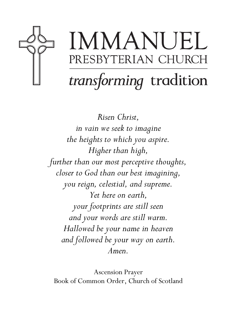

# IMMANUEL PRESBYTERIAN CHURCH transforming tradition

Risen Christ, in vain we seek to imagine the heights to which you aspire. Higher than high, further than our most perceptive thoughts, closer to God than our best imagining, you reign, celestial, and supreme. Yet here on earth, your footprints are still seen and your words are still warm. Hallowed be your name in heaven and followed be your way on earth. Amen.

Ascension Prayer Book of Common Order, Church of Scotland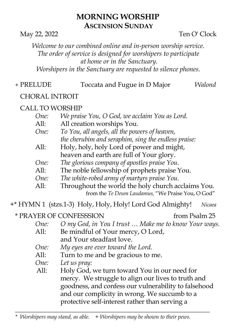# MORNING WORSHIP ASCENSION SUNDAY

May 22, 2022 Ten O' Clock

Welcome to our combined online and in-person worship service. The order of service is designed for worshipers to participate at home or in the Sanctuary. Worshipers in the Sanctuary are requested to silence phones.

# + PRELUDE Toccata and Fugue in D Major Walond

# CHORAL INTROIT

# CALL TO WORSHIP

| One: | We praise You, O God, we acclaim You as Lord.       |
|------|-----------------------------------------------------|
| All: | All creation worships You.                          |
| One: | To You, all angels, all the powers of heaven,       |
|      | the cherubim and seraphim, sing the endless praise: |
| All: | Holy, holy, holy Lord of power and might,           |
|      | heaven and earth are full of Your glory.            |
| One: | The glorious company of apostles praise You.        |
| All: | The noble fellowship of prophets praise You.        |
| One: | The white-robed army of martyrs praise You.         |
| All: | Throughout the world the holy church acclaims You.  |
|      | from the Te Deum Laudamus, "We Praise You, O God"   |

+\* HYMN 1 (stzs.1-3) Holy, Holy, Holy! Lord God Almighty! Nicaea

# \* PRAYER OF CONFESSSION from Psalm 25

- One: O my God, in You I trust … Make me to know Your ways. All: Be mindful of Your mercy, O Lord, and Your steadfast love.
- One: My eyes are ever toward the Lord.
- All: Turn to me and be gracious to me.
- One: Let us pray:
- All: Holy God, we turn toward You in our need for mercy. We struggle to align our lives to truth and goodness, and confess our vulnerability to falsehood and our complicity in wrong. We succumb to a protective self-interest rather than serving a

 $*$  Worshipers may stand, as able.  $+$  Worshipers may be shown to their pews.

\_\_\_\_\_\_\_\_\_\_\_\_\_\_\_\_\_\_\_\_\_\_\_\_\_\_\_\_\_\_\_\_\_\_\_\_\_\_\_\_\_\_\_\_\_\_\_\_\_\_\_\_\_\_\_\_\_\_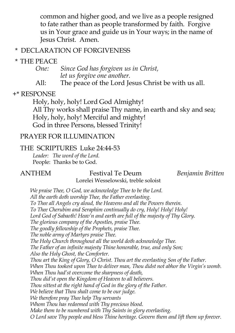common and higher good, and we live as a people resigned to fate rather than as people transformed by faith. Forgive us in Your grace and guide us in Your ways; in the name of Jesus Christ. Amen.

#### \* DECLARATION OF FORGIVENESS

### \* THE PEACE

One: Since God has forgiven us in Christ, let us forgive one another.<br>All: The peace of the Lord Ia

The peace of the Lord Jesus Christ be with us all.

#### +\* RESPONSE

 Holy, holy, holy! Lord God Almighty! All Thy works shall praise Thy name, in earth and sky and sea; Holy, holy, holy! Merciful and mighty! God in three Persons, blessed Trinity!

#### PRAYER FOR ILLUMINATION

#### THE SCRIPTURES Luke 24:44-53

 Leader: The word of the Lord. People: Thanks be to God.

#### ANTHEM Festival Te Deum Benjamin Britten

Lorelei Wesselowski, treble soloist

We praise Thee, O God, we acknowledge Thee to be the Lord. All the earth doth worship Thee, the Father everlasting. To Thee all Angels cry aloud, the Heavens and all the Powers therein. To Thee Cherubim and Seraphim continually do cry, Holy! Holy! Holy! Lord God of Sabaoth! Heav'n and earth are full of the majesty of Thy Glory. The glorious company of the Apostles, praise Thee. The goodly fellowship of the Prophets, praise Thee. The noble army of Martyrs praise Thee. The Holy Church throughout all the world doth acknowledge Thee. The Father of an infinite majesty Thine honorable, true, and only Son; Also the Holy Ghost, the Comforter. Thou art the King of Glory,  $\acute{o}$  Christ. Thou art the everlasting Son of the Father. When Thou tookest upon Thee to deliver man, Thou didst not abhor the Virgin's womb. When Thou had'st overcome the sharpness of death, Thou did'st open the Kingdom of Heaven to all believers. Thou sittest at the right hand of God in the glory of the Father. We believe that Thou shalt come to be our judge. We therefore pray Thee help Thy servants Whom Thou has redeemed with Thy precious blood. Make them to be numbered with Thy Saints in glory everlasting. O Lord save Thy people and bless Thine heritage. Govern them and lift them up forever.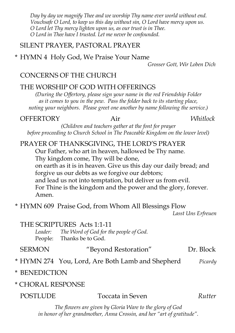Day by day we magnify Thee and we worship Thy name ever world without end. Vouchsafe O Lord, to keep us this day without sin, O Lord have mercy upon us. O Lord let Thy mercy lighten upon us, as our trust is in Thee. O Lord in Thee have I trusted. Let me never be confounded.

#### SILENT PRAYER, PASTORAL PRAYER

\* HYMN 4 Holy God, We Praise Your Name

Grosser Gott, Wir Loben Dich

# CONCERNS OF THE CHURCH

### THE WORSHIP OF GOD WITH OFFERINGS

(During the Offertory, please sign your name in the red Friendship Folder as it comes to you in the pew. Pass the folder back to its starting place, noting your neighbors. Please greet one another by name following the service.)

#### OFFERTORY Air Whitlock

(Children and teachers gather at the font for prayer before proceeding to Church School in The Peaceable Kingdom on the lower level)

# PRAYER OF THANKSGIVING, THE LORD'S PRAYER

Our Father, who art in heaven, hallowed be Thy name. Thy kingdom come, Thy will be done, on earth as it is in heaven. Give us this day our daily bread; and forgive us our debts as we forgive our debtors; and lead us not into temptation, but deliver us from evil. For Thine is the kingdom and the power and the glory, forever. Amen.

\* HYMN 609 Praise God, from Whom All Blessings Flow

Lasst Uns Erfreuen

#### THE SCRIPTURES Acts 1:1-11

Leader: The Word of God for the people of God. People: Thanks be to God.

| <b>SERMON</b> | "Beyond Restoration" | Dr. Block |
|---------------|----------------------|-----------|
|               |                      |           |

### \* HYMN 274 You, Lord, Are Both Lamb and Shepherd Picardy

#### \* BENEDICTION

#### \* CHORAL RESPONSE

| <b>POSTLUDE</b> | Toccata in Seven | Rutter |
|-----------------|------------------|--------|
|-----------------|------------------|--------|

The flowers are given by Gloria Ware to the glory of God in honor of her grandmother, Anna Crossin, and her "art of gratitude".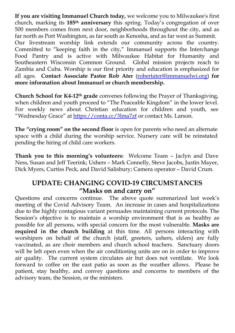If you are visiting Immanuel Church today, we welcome you to Milwaukee's first church, marking its 185<sup>th</sup> anniversary this spring. Today's congregation of over 500 members comes from next door, neighborhoods throughout the city, and as far north as Port Washington, as far south as Kenosha, and as far west as Summit. Our livestream worship link extends our community across the country. Committed to "keeping faith in the city," Immanuel supports the Interchange Food Pantry and is active with Milwaukee Habitat for Humanity and Southeastern Wisconsin Common Ground. Global mission projects reach to Zambia and Cuba. Worship is our first priority and education is emphasized for all ages. Contact Associate Pastor Rob Ater (robertater@immanuelwi.org) for more information about Immanuel or church membership.

Church School for K4-12th grade convenes following the Prayer of Thanksgiving, when children and youth proceed to "The Peaceable Kingdom" in the lower level. For weekly news about Christian education for children and youth, see "Wednesday Grace" at https://conta.cc/3lma7zf or contact Ms. Larson.

The "crying room" on the second floor is open for parents who need an alternate space with a child during the worship service. Nursery care will be reinstated pending the hiring of child care workers.

Thank you to this morning's volunteers: Welcome Team – Jaclyn and Dave Ness, Susan and Jeff Teerink; Ushers – Mark Connelly, Steve Jacobs, Justin Mayer, Dick Myers, Curtiss Peck, and David Salisbury; Camera operator – David Crum.

#### UPDATE: CHANGING COVID-19 CIRCUMSTANCES "Masks on and carry on"

Questions and concerns continue. The above quote summarized last week's meeting of the Covid Advisory Team. An increase in cases and hospitalizations due to the highly contagious variant persuades maintaining current protocols. The Session's objective is to maintain a worship environment that is as healthy as possible for all persons, with special concern for the most vulnerable. Masks are required in the church building at this time. All persons interacting with worshipers on behalf of the church (staff, greeters, ushers, elders) are fully vaccinated, as are choir members and church school teachers. Sanctuary doors will be left open even when the air conditioning units are on in order to improve air quality. The current system circulates air but does not ventilate. We look forward to coffee on the east patio as soon as the weather allows. Please be patient, stay healthy, and convey questions and concerns to members of the advisory team, the Session, or the ministers.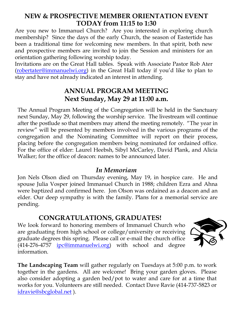#### NEW & PROSPECTIVE MEMBER ORIENTATION EVENT TODAY from 11:15 to 1:30

Are you new to Immanuel Church? Are you interested in exploring church membership? Since the days of the early Church, the season of Eastertide has been a traditional time for welcoming new members. In that spirit, both new and prospective members are invited to join the Session and ministers for an orientation gathering following worship today.

Invitations are on the Great Hall tables. Speak with Associate Pastor Rob Ater (robertater@immanuelwi.org) in the Great Hall today if you'd like to plan to stay and have not already indicated an interest in attending.

## ANNUAL PROGRAM MEETING Next Sunday, May 29 at 11:00 a.m.

The Annual Program Meeting of the Congregation will be held in the Sanctuary next Sunday, May 29, following the worship service. The livestream will continue after the postlude so that members may attend the meeting remotely. "The year in review" will be presented by members involved in the various programs of the congregation and the Nominating Committee will report on their process, placing before the congregation members being nominated for ordained office. For the office of elder: Laurel Heebsh, Sibyl McCarley, David Plank, and Alicia Walker; for the office of deacon: names to be announced later.

### In Memoriam

Jon Nels Olson died on Thursday evening, May 19, in hospice care. He and spouse Julia Vosper joined Immanuel Church in 1988; children Ezra and Ahna were baptized and confirmed here. Jon Olson was ordained as a deacon and an elder. Our deep sympathy is with the family. Plans for a memorial service are pending.

# CONGRATULATIONS, GRADUATES!

We look forward to honoring members of Immanuel Church who are graduating from high school or college/university or receiving graduate degrees this spring. Please call or e-mail the church office (414-276-4757 ipc@immanuelwi.org) with school and degree information.



The Landscaping Team will gather regularly on Tuesdays at 5:00 p.m. to work together in the gardens. All are welcome! Bring your garden gloves. Please also consider adopting a garden bed/pot to water and care for at a time that works for you. Volunteers are still needed. Contact Dave Ravie (414-737-5823 or idravie@sbcglobal.net ).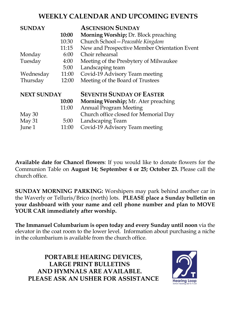# WEEKLY CALENDAR AND UPCOMING EVENTS

| <b>SUNDAY</b>      |       | <b>ASCENSION SUNDAY</b>                      |
|--------------------|-------|----------------------------------------------|
|                    | 10:00 | <b>Morning Worship; Dr. Block preaching</b>  |
|                    | 10:30 | Church School - Peaceable Kingdom            |
|                    | 11:15 | New and Prospective Member Orientation Event |
| Monday             | 6:00  | Choir rehearsal                              |
| Tuesday            | 4:00  | Meeting of the Presbytery of Milwaukee       |
|                    | 5:00  | Landscaping team                             |
| Wednesday          | 11:00 | Covid-19 Advisory Team meeting               |
| Thursday           | 12:00 | Meeting of the Board of Trustees             |
| <b>NEXT SUNDAY</b> |       | <b>SEVENTH SUNDAY OF EASTER</b>              |
|                    | 10:00 | Morning Worship; Mr. Ater preaching          |
|                    | 11:00 | <b>Annual Program Meeting</b>                |
| May 30             |       | Church office closed for Memorial Day        |
| May 31             | 5:00  | Landscaping Team                             |
| June 1             | 11:00 | Covid-19 Advisory Team meeting               |

Available date for Chancel flowers: If you would like to donate flowers for the Communion Table on August 14; September 4 or 25; October 23. Please call the church office.

SUNDAY MORNING PARKING: Worshipers may park behind another car in the Waverly or Telluris/Brico (north) lots. PLEASE place a Sunday bulletin on your dashboard with your name and cell phone number and plan to MOVE YOUR CAR immediately after worship.

The Immanuel Columbarium is open today and every Sunday until noon via the elevator in the coat room to the lower level. Information about purchasing a niche in the columbarium is available from the church office.

PORTABLE HEARING DEVICES, LARGE PRINT BULLETINS AND HYMNALS ARE AVAILABLE. PLEASE ASK AN USHER FOR ASSISTANCE